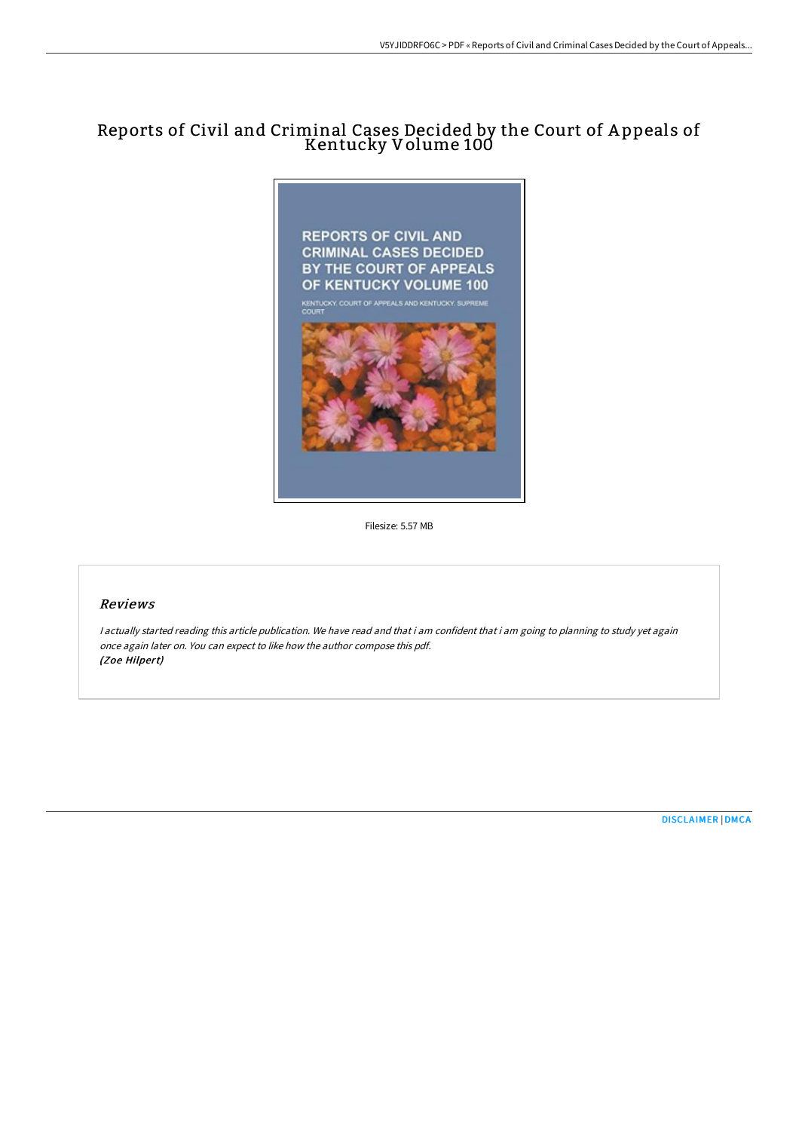# Reports of Civil and Criminal Cases Decided by the Court of A ppeals of Kentucky Volume 100



Filesize: 5.57 MB

### Reviews

<sup>I</sup> actually started reading this article publication. We have read and that i am confident that i am going to planning to study yet again once again later on. You can expect to like how the author compose this pdf. (Zoe Hilpert)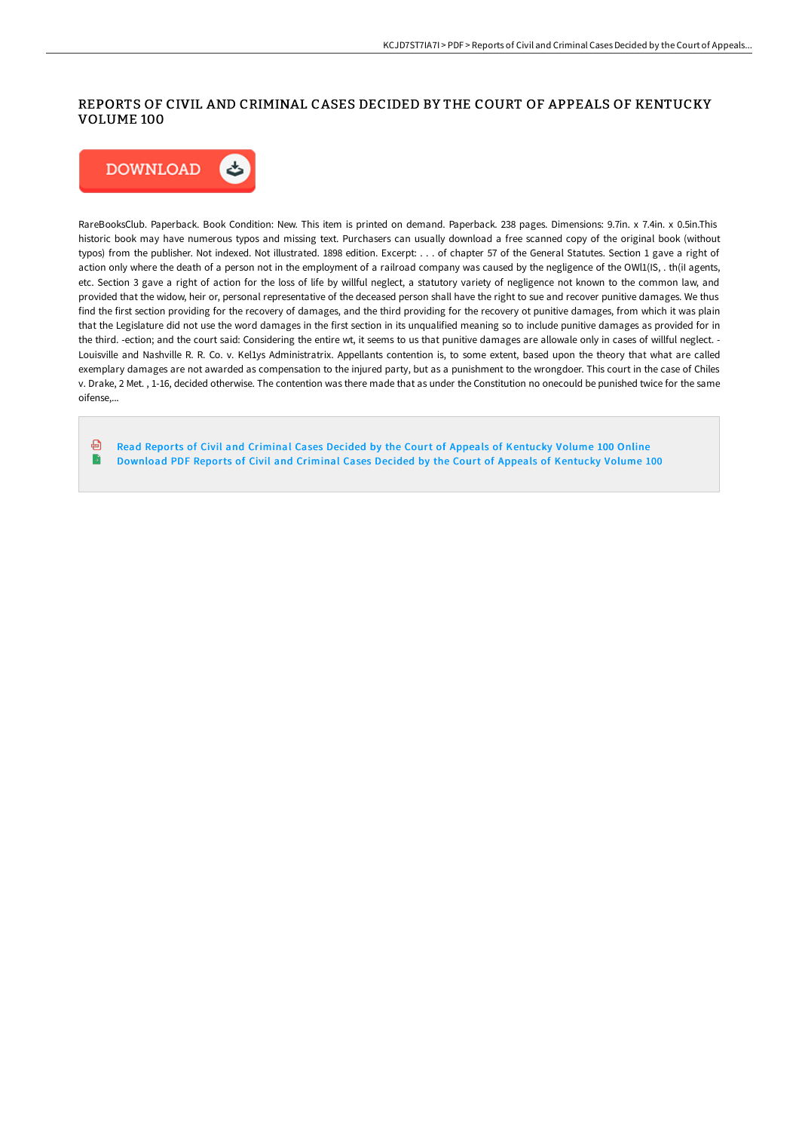## REPORTS OF CIVIL AND CRIMINAL CASES DECIDED BY THE COURT OF APPEALS OF KENTUCKY VOLUME 100



RareBooksClub. Paperback. Book Condition: New. This item is printed on demand. Paperback. 238 pages. Dimensions: 9.7in. x 7.4in. x 0.5in.This historic book may have numerous typos and missing text. Purchasers can usually download a free scanned copy of the original book (without typos) from the publisher. Not indexed. Not illustrated. 1898 edition. Excerpt: . . . of chapter 57 of the General Statutes. Section 1 gave a right of action only where the death of a person not in the employment of a railroad company was caused by the negligence of the OWI1(IS, . th(iI agents, etc. Section 3 gave a right of action for the loss of life by willful neglect, a statutory variety of negligence not known to the common law, and provided that the widow, heir or, personal representative of the deceased person shall have the right to sue and recover punitive damages. We thus find the first section providing for the recovery of damages, and the third providing for the recovery ot punitive damages, from which it was plain that the Legislature did not use the word damages in the first section in its unqualified meaning so to include punitive damages as provided for in the third. -ection; and the court said: Considering the entire wt, it seems to us that punitive damages are allowale only in cases of willful neglect. - Louisville and Nashville R. R. Co. v. Kel1ys Administratrix. Appellants contention is, to some extent, based upon the theory that what are called exemplary damages are not awarded as compensation to the injured party, but as a punishment to the wrongdoer. This court in the case of Chiles v. Drake, 2 Met. , 1-16, decided otherwise. The contention was there made that as under the Constitution no onecould be punished twice for the same oifense,...

⊕ Read Reports of Civil and Criminal Cases Decided by the Court of Appeals of [Kentucky](http://albedo.media/reports-of-civil-and-criminal-cases-decided-by-t-4.html) Volume 100 Online  $\blacksquare$ [Download](http://albedo.media/reports-of-civil-and-criminal-cases-decided-by-t-4.html) PDF Reports of Civil and Criminal Cases Decided by the Court of Appeals of Kentucky Volume 100